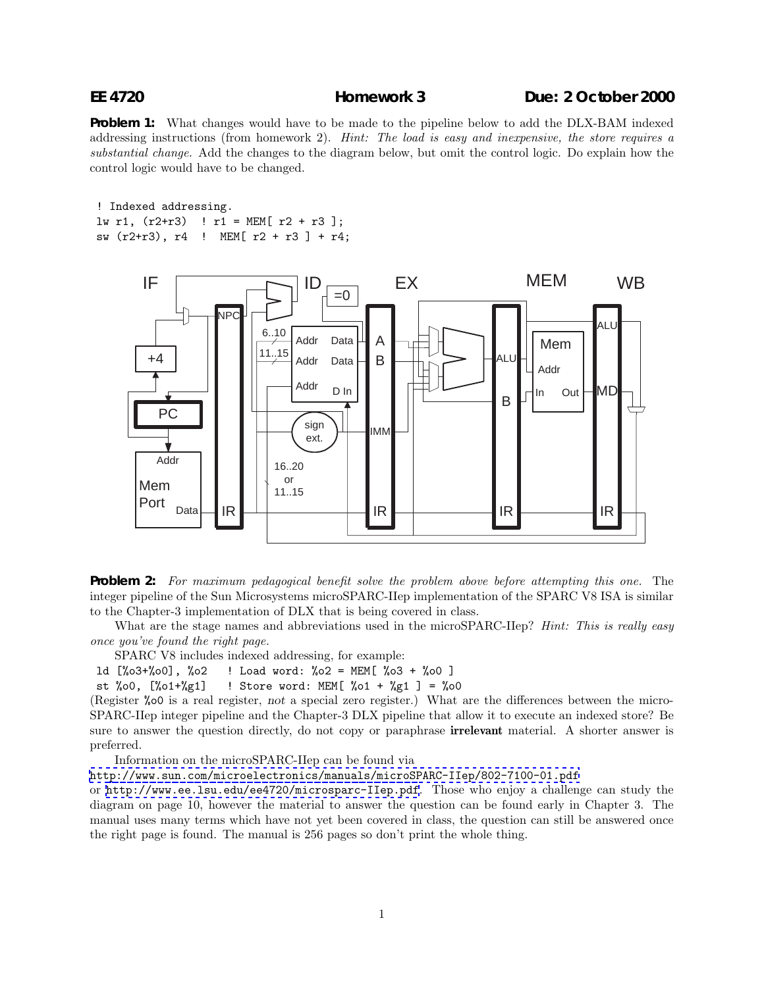## **EE 4720 Homework 3 Due: 2 October 2000**

**Problem 1:** What changes would have to be made to the pipeline below to add the DLX-BAM indexed addressing instructions (from homework 2). *Hint: The load is easy and inexpensive, the store requires a substantial change.* Add the changes to the diagram below, but omit the control logic. Do explain how the control logic would have to be changed.

! Indexed addressing. lw r1, (r2+r3) ! r1 = MEM[ r2 + r3 ]; sw (r2+r3), r4 ! MEM[ r2 + r3 ] + r4;



**Problem 2:** *For maximum pedagogical benefit solve the problem above before attempting this one.* The integer pipeline of the Sun Microsystems microSPARC-IIep implementation of the SPARC V8 ISA is similar to the Chapter-3 implementation of DLX that is being covered in class.

What are the stage names and abbreviations used in the microSPARC-IIep? *Hint: This is really easy once you've found the right page.*

SPARC V8 includes indexed addressing, for example:

ld [%o3+%o0], %o2 ! Load word: %o2 = MEM[ %o3 + %o0 ]

st %00,  $[\%01+\%g1]$  ! Store word: MEM[ %01 + %g1 ] = %00

(Register %o0 is a real register, not a special zero register.) What are the differences between the micro-SPARC-IIep integer pipeline and the Chapter-3 DLX pipeline that allow it to execute an indexed store? Be sure to answer the question directly, do not copy or paraphrase **irrelevant** material. A shorter answer is preferred.

Information on the microSPARC-IIep can be found via

<http://www.sun.com/microelectronics/manuals/microSPARC-IIep/802-7100-01.pdf>

or <http://www.ee.lsu.edu/ee4720/microsparc-IIep.pdf>. Those who enjoy a challenge can study the diagram on page 10, however the material to answer the question can be found early in Chapter 3. The manual uses many terms which have not yet been covered in class, the question can still be answered once the right page is found. The manual is 256 pages so don't print the whole thing.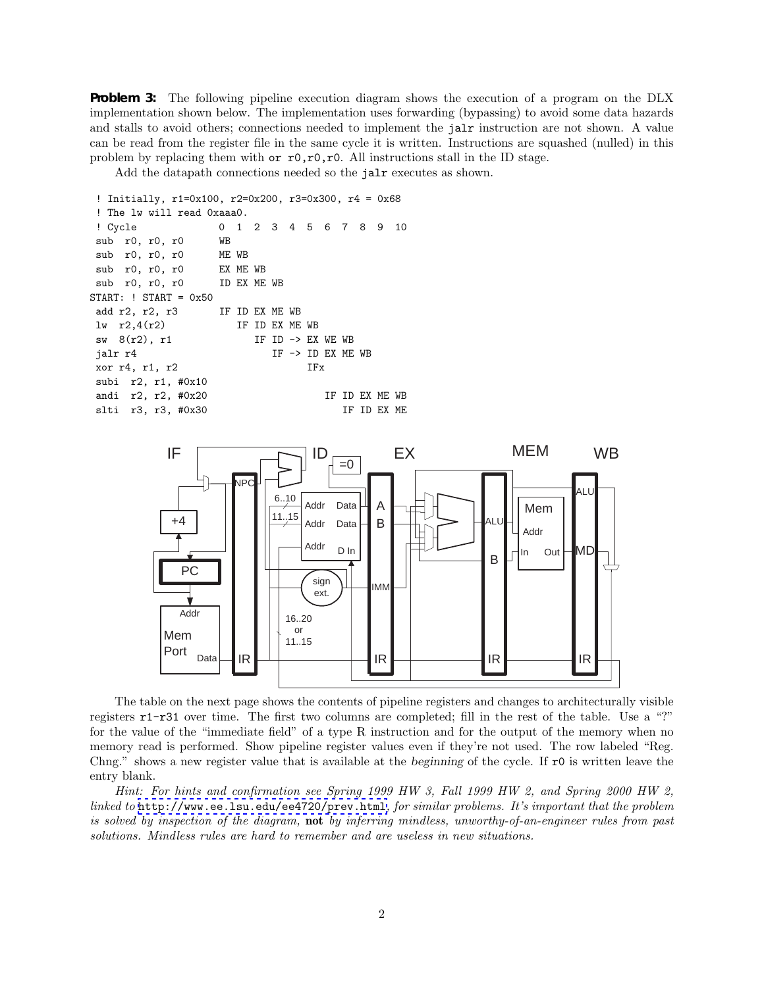**Problem 3:** The following pipeline execution diagram shows the execution of a program on the DLX implementation shown below. The implementation uses forwarding (bypassing) to avoid some data hazards and stalls to avoid others; connections needed to implement the jalr instruction are not shown. A value can be read from the register file in the same cycle it is written. Instructions are squashed (nulled) in this problem by replacing them with  $\sigma r 0, r 0, r 0$ . All instructions stall in the ID stage.

Add the datapath connections needed so the jalr executes as shown.

```
! Initially, r1=0x100, r2=0x200, r3=0x300, r4 = 0x68
! The lw will read 0xaaa0.
! Cycle 0 1 2 3 4 5 6 7 8 9 10
sub r0, r0, r0 WB
sub r0, r0, r0 ME WB
sub r0, r0, r0 EX ME WB
sub r0, r0, r0 ID EX ME WB
START: ! START = 0x50
add r2, r2, r3 IF ID EX ME WB
\ln r2,4(r2) IF ID EX ME WB
sw 8(r2), r1 IF ID -> EX WE WB
jalr r4 IF -> ID EX ME WB
xor r4, r1, r2 IFx
subi r2, r1, #0x10
andi r2, r2, #0x20 IF ID EX ME WB
slti r3, r3, #0x30 IF ID EX ME
```


The table on the next page shows the contents of pipeline registers and changes to architecturally visible registers r1-r31 over time. The first two columns are completed; fill in the rest of the table. Use a "?" for the value of the "immediate field" of a type R instruction and for the output of the memory when no memory read is performed. Show pipeline register values even if they're not used. The row labeled "Reg. Chng." shows a new register value that is available at the beginning of the cycle. If r0 is written leave the entry blank.

*Hint: For hints and confirmation see Spring 1999 HW 3, Fall 1999 HW 2, and Spring 2000 HW 2, linked to* <http://www.ee.lsu.edu/ee4720/prev.html>*, for similar problems. It's important that the problem is solved by inspection of the diagram,* **not** *by inferring mindless, unworthy-of-an-engineer rules from past solutions. Mindless rules are hard to remember and are useless in new situations.*